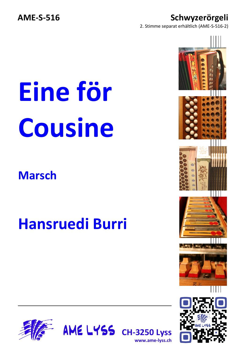#### **AME-S-516 Schwyzerörgeli**

2. Stimme separat erhältlich (AME-S-516-2)

## **Eine för Cousine**

### **Marsch**

### **Hansruedi Burri**



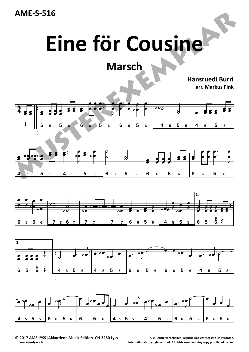

## **Eine för Cousine**

**Marsch**

**Hansruedi Burri**

**arr. Markus Fink**